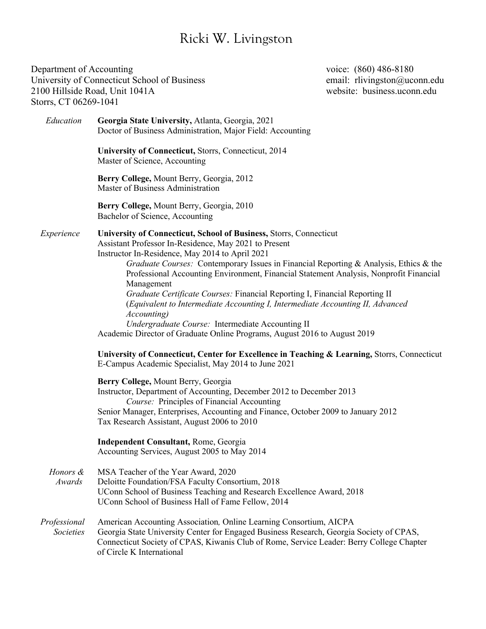## Ricki W. Livingston

Department of Accounting Department of Accounting voice: (860) 486-8180 University of Connecticut School of Business email: rlivingston@uconn.edu 2100 Hillside Road, Unit 1041A website: business.uconn.edu Storrs, CT 06269-1041 *Education* **Georgia State University,** Atlanta, Georgia, 2021 Doctor of Business Administration, Major Field: Accounting **University of Connecticut,** Storrs, Connecticut, 2014 Master of Science, Accounting **Berry College,** Mount Berry, Georgia, 2012 Master of Business Administration **Berry College,** Mount Berry, Georgia, 2010 Bachelor of Science, Accounting *Experience* **University of Connecticut, School of Business,** Storrs, Connecticut Assistant Professor In-Residence, May 2021 to Present Instructor In-Residence, May 2014 to April 2021 *Graduate Courses:* Contemporary Issues in Financial Reporting & Analysis, Ethics & the Professional Accounting Environment, Financial Statement Analysis, Nonprofit Financial Management *Graduate Certificate Courses:* Financial Reporting I, Financial Reporting II (*Equivalent to Intermediate Accounting I, Intermediate Accounting II, Advanced Accounting) Undergraduate Course:* Intermediate Accounting II Academic Director of Graduate Online Programs, August 2016 to August 2019 **University of Connecticut, Center for Excellence in Teaching & Learning,** Storrs, Connecticut E-Campus Academic Specialist, May 2014 to June 2021 **Berry College,** Mount Berry, Georgia Instructor, Department of Accounting, December 2012 to December 2013 *Course:* Principles of Financial Accounting Senior Manager, Enterprises, Accounting and Finance, October 2009 to January 2012 Tax Research Assistant, August 2006 to 2010 **Independent Consultant,** Rome, Georgia Accounting Services, August 2005 to May 2014 *Honors &* MSA Teacher of the Year Award, 2020  *Awards* Deloitte Foundation/FSA Faculty Consortium, 2018 UConn School of Business Teaching and Research Excellence Award, 2018 UConn School of Business Hall of Fame Fellow, 2014 *Professional* American Accounting Association*,* Online Learning Consortium, AICPA *Societies* Georgia State University Center for Engaged Business Research, Georgia Society of CPAS, Connecticut Society of CPAS, Kiwanis Club of Rome, Service Leader: Berry College Chapter of Circle K International